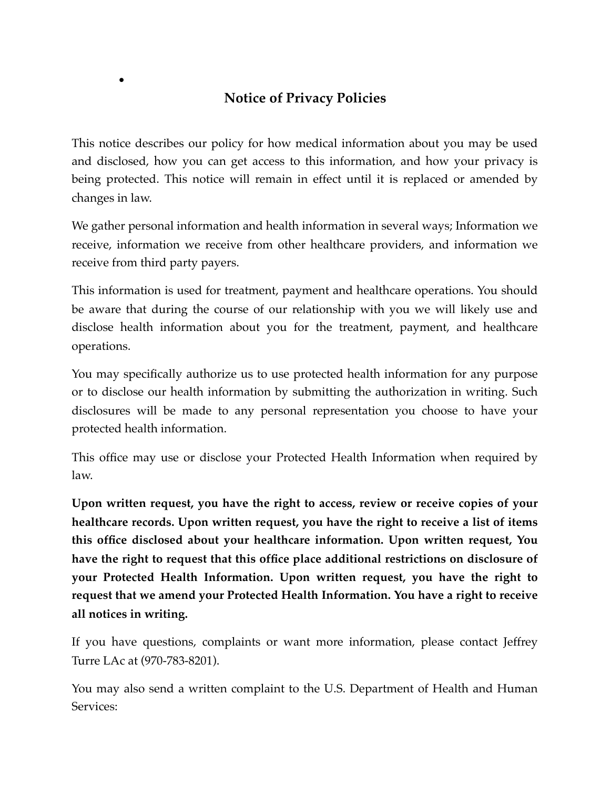## **Notice of Privacy Policies**

*•*

This notice describes our policy for how medical information about you may be used and disclosed, how you can get access to this information, and how your privacy is being protected. This notice will remain in effect until it is replaced or amended by changes in law.

We gather personal information and health information in several ways; Information we receive, information we receive from other healthcare providers, and information we receive from third party payers.

This information is used for treatment, payment and healthcare operations. You should be aware that during the course of our relationship with you we will likely use and disclose health information about you for the treatment, payment, and healthcare operations.

You may specifically authorize us to use protected health information for any purpose or to disclose our health information by submitting the authorization in writing. Such disclosures will be made to any personal representation you choose to have your protected health information.

This office may use or disclose your Protected Health Information when required by law.

**Upon written request, you have the right to access, review or receive copies of your healthcare records. Upon written request, you have the right to receive a list of items this office disclosed about your healthcare information. Upon written request, You have the right to request that this office place additional restrictions on disclosure of your Protected Health Information. Upon written request, you have the right to request that we amend your Protected Health Information. You have a right to receive all notices in writing.**

If you have questions, complaints or want more information, please contact Jeffrey Turre LAc at (970-783-8201).

You may also send a written complaint to the U.S. Department of Health and Human Services: